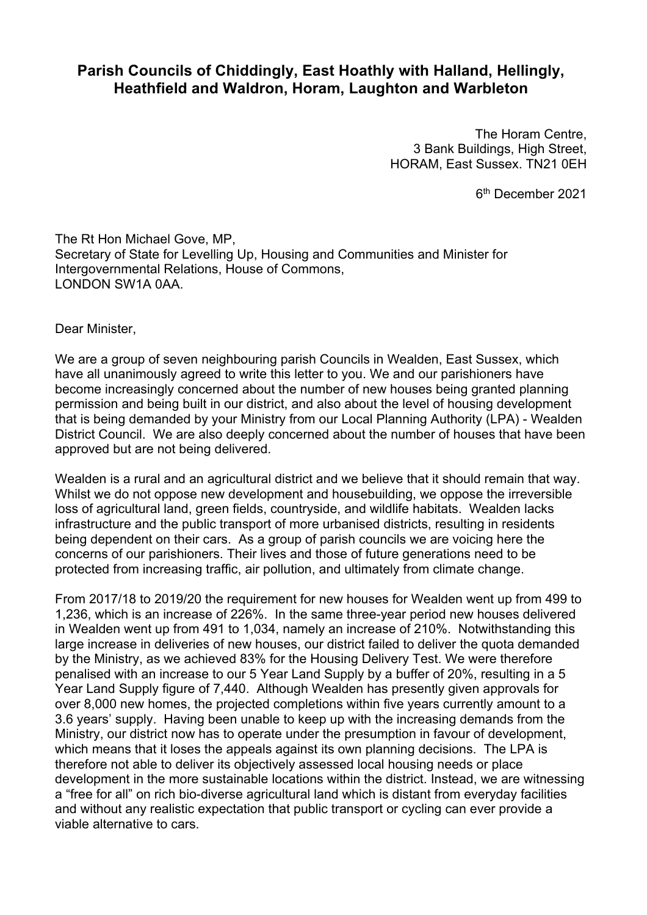## **Parish Councils of Chiddingly, East Hoathly with Halland, Hellingly, Heathfield and Waldron, Horam, Laughton and Warbleton**

The Horam Centre, 3 Bank Buildings, High Street, HORAM, East Sussex. TN21 0EH

6<sup>th</sup> December 2021

The Rt Hon Michael Gove, MP, Secretary of State for Levelling Up, Housing and Communities and Minister for Intergovernmental Relations, House of Commons, LONDON SW1A 0AA.

Dear Minister,

We are a group of seven neighbouring parish Councils in Wealden, East Sussex, which have all unanimously agreed to write this letter to you. We and our parishioners have become increasingly concerned about the number of new houses being granted planning permission and being built in our district, and also about the level of housing development that is being demanded by your Ministry from our Local Planning Authority (LPA) - Wealden District Council. We are also deeply concerned about the number of houses that have been approved but are not being delivered.

Wealden is a rural and an agricultural district and we believe that it should remain that way. Whilst we do not oppose new development and housebuilding, we oppose the irreversible loss of agricultural land, green fields, countryside, and wildlife habitats. Wealden lacks infrastructure and the public transport of more urbanised districts, resulting in residents being dependent on their cars. As a group of parish councils we are voicing here the concerns of our parishioners. Their lives and those of future generations need to be protected from increasing traffic, air pollution, and ultimately from climate change.

From 2017/18 to 2019/20 the requirement for new houses for Wealden went up from 499 to 1,236, which is an increase of 226%. In the same three-year period new houses delivered in Wealden went up from 491 to 1,034, namely an increase of 210%. Notwithstanding this large increase in deliveries of new houses, our district failed to deliver the quota demanded by the Ministry, as we achieved 83% for the Housing Delivery Test. We were therefore penalised with an increase to our 5 Year Land Supply by a buffer of 20%, resulting in a 5 Year Land Supply figure of 7,440. Although Wealden has presently given approvals for over 8,000 new homes, the projected completions within five years currently amount to a 3.6 years' supply. Having been unable to keep up with the increasing demands from the Ministry, our district now has to operate under the presumption in favour of development, which means that it loses the appeals against its own planning decisions. The LPA is therefore not able to deliver its objectively assessed local housing needs or place development in the more sustainable locations within the district. Instead, we are witnessing a "free for all" on rich bio-diverse agricultural land which is distant from everyday facilities and without any realistic expectation that public transport or cycling can ever provide a viable alternative to cars.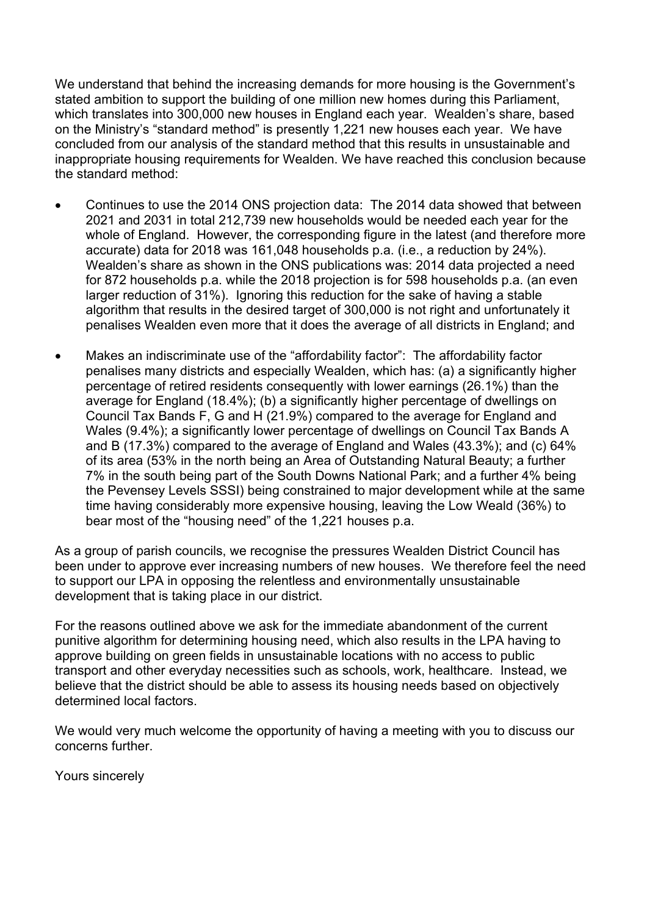We understand that behind the increasing demands for more housing is the Government's stated ambition to support the building of one million new homes during this Parliament, which translates into 300,000 new houses in England each year. Wealden's share, based on the Ministry's "standard method" is presently 1,221 new houses each year. We have concluded from our analysis of the standard method that this results in unsustainable and inappropriate housing requirements for Wealden. We have reached this conclusion because the standard method:

- Continues to use the 2014 ONS projection data: The 2014 data showed that between 2021 and 2031 in total 212,739 new households would be needed each year for the whole of England. However, the corresponding figure in the latest (and therefore more accurate) data for 2018 was 161,048 households p.a. (i.e., a reduction by 24%). Wealden's share as shown in the ONS publications was: 2014 data projected a need for 872 households p.a. while the 2018 projection is for 598 households p.a. (an even larger reduction of 31%). Ignoring this reduction for the sake of having a stable algorithm that results in the desired target of 300,000 is not right and unfortunately it penalises Wealden even more that it does the average of all districts in England; and
- Makes an indiscriminate use of the "affordability factor": The affordability factor penalises many districts and especially Wealden, which has: (a) a significantly higher percentage of retired residents consequently with lower earnings (26.1%) than the average for England (18.4%); (b) a significantly higher percentage of dwellings on Council Tax Bands F, G and H (21.9%) compared to the average for England and Wales (9.4%); a significantly lower percentage of dwellings on Council Tax Bands A and B (17.3%) compared to the average of England and Wales (43.3%); and (c) 64% of its area (53% in the north being an Area of Outstanding Natural Beauty; a further 7% in the south being part of the South Downs National Park; and a further 4% being the Pevensey Levels SSSI) being constrained to major development while at the same time having considerably more expensive housing, leaving the Low Weald (36%) to bear most of the "housing need" of the 1,221 houses p.a.

As a group of parish councils, we recognise the pressures Wealden District Council has been under to approve ever increasing numbers of new houses. We therefore feel the need to support our LPA in opposing the relentless and environmentally unsustainable development that is taking place in our district.

For the reasons outlined above we ask for the immediate abandonment of the current punitive algorithm for determining housing need, which also results in the LPA having to approve building on green fields in unsustainable locations with no access to public transport and other everyday necessities such as schools, work, healthcare. Instead, we believe that the district should be able to assess its housing needs based on objectively determined local factors.

We would very much welcome the opportunity of having a meeting with you to discuss our concerns further.

Yours sincerely